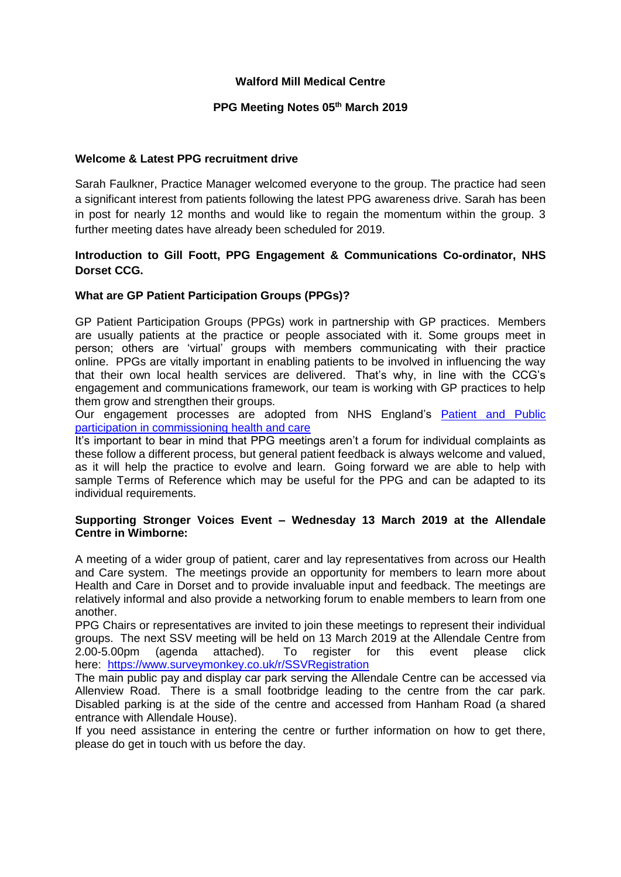## **Walford Mill Medical Centre**

#### **PPG Meeting Notes 05th March 2019**

#### **Welcome & Latest PPG recruitment drive**

Sarah Faulkner, Practice Manager welcomed everyone to the group. The practice had seen a significant interest from patients following the latest PPG awareness drive. Sarah has been in post for nearly 12 months and would like to regain the momentum within the group. 3 further meeting dates have already been scheduled for 2019.

## **Introduction to Gill Foott, PPG Engagement & Communications Co-ordinator, NHS Dorset CCG.**

## **What are GP Patient Participation Groups (PPGs)?**

GP Patient Participation Groups (PPGs) work in partnership with GP practices. Members are usually patients at the practice or people associated with it. Some groups meet in person; others are 'virtual' groups with members communicating with their practice online. PPGs are vitally important in enabling patients to be involved in influencing the way that their own local health services are delivered. That's why, in line with the CCG's engagement and communications framework, our team is working with GP practices to help them grow and strengthen their groups.

Our engagement processes are adopted from NHS England's **Patient and Public** [participation in commissioning health and care](https://www.england.nhs.uk/wp-content/uploads/2017/05/patient-and-public-participation-guidance.pdf)

It's important to bear in mind that PPG meetings aren't a forum for individual complaints as these follow a different process, but general patient feedback is always welcome and valued, as it will help the practice to evolve and learn. Going forward we are able to help with sample Terms of Reference which may be useful for the PPG and can be adapted to its individual requirements.

#### **Supporting Stronger Voices Event – Wednesday 13 March 2019 at the Allendale Centre in Wimborne:**

A meeting of a wider group of patient, carer and lay representatives from across our Health and Care system. The meetings provide an opportunity for members to learn more about Health and Care in Dorset and to provide invaluable input and feedback. The meetings are relatively informal and also provide a networking forum to enable members to learn from one another.

PPG Chairs or representatives are invited to join these meetings to represent their individual groups. The next SSV meeting will be held on 13 March 2019 at the Allendale Centre from 2.00-5.00pm (agenda attached). To register for this event please click here: <https://www.surveymonkey.co.uk/r/SSVRegistration>

The main public pay and display car park serving the Allendale Centre can be accessed via Allenview Road. There is a small footbridge leading to the centre from the car park. Disabled parking is at the side of the centre and accessed from Hanham Road (a shared entrance with Allendale House).

If you need assistance in entering the centre or further information on how to get there, please do get in touch with us before the day.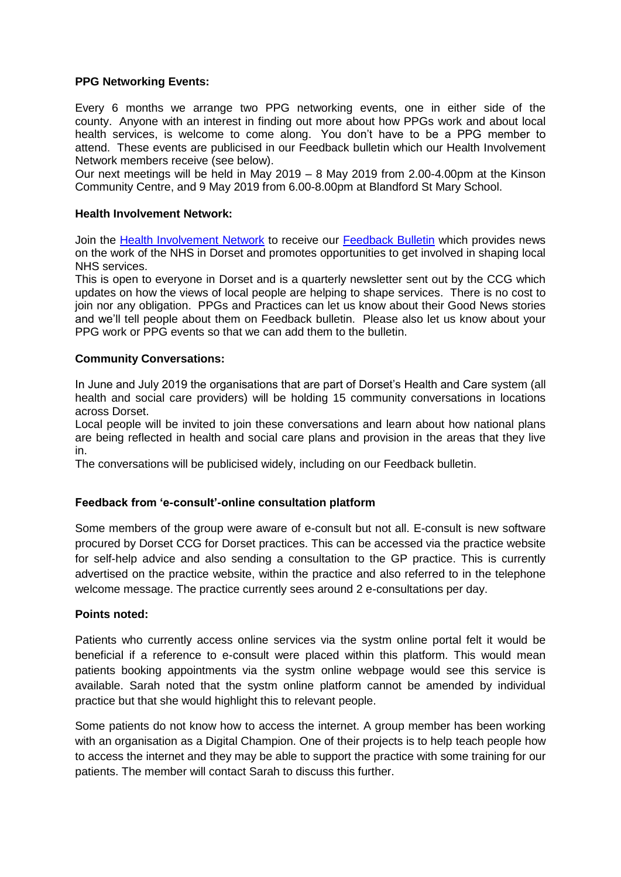#### **PPG Networking Events:**

Every 6 months we arrange two PPG networking events, one in either side of the county. Anyone with an interest in finding out more about how PPGs work and about local health services, is welcome to come along. You don't have to be a PPG member to attend. These events are publicised in our Feedback bulletin which our Health Involvement Network members receive (see below).

Our next meetings will be held in May 2019 – 8 May 2019 from 2.00-4.00pm at the Kinson Community Centre, and 9 May 2019 from 6.00-8.00pm at Blandford St Mary School.

#### **Health Involvement Network:**

Join the [Health Involvement Network](https://www.dorsetccg.nhs.uk/involve/hin/form/) to receive our [Feedback Bulletin](https://www.dorsetccg.nhs.uk/feedback-december-2018/) which provides news on the work of the NHS in Dorset and promotes opportunities to get involved in shaping local NHS services.

This is open to everyone in Dorset and is a quarterly newsletter sent out by the CCG which updates on how the views of local people are helping to shape services. There is no cost to join nor any obligation. PPGs and Practices can let us know about their Good News stories and we'll tell people about them on Feedback bulletin. Please also let us know about your PPG work or PPG events so that we can add them to the bulletin.

## **Community Conversations:**

In June and July 2019 the organisations that are part of Dorset's Health and Care system (all health and social care providers) will be holding 15 community conversations in locations across Dorset.

Local people will be invited to join these conversations and learn about how national plans are being reflected in health and social care plans and provision in the areas that they live in.

The conversations will be publicised widely, including on our Feedback bulletin.

## **Feedback from 'e-consult'-online consultation platform**

Some members of the group were aware of e-consult but not all. E-consult is new software procured by Dorset CCG for Dorset practices. This can be accessed via the practice website for self-help advice and also sending a consultation to the GP practice. This is currently advertised on the practice website, within the practice and also referred to in the telephone welcome message. The practice currently sees around 2 e-consultations per day.

#### **Points noted:**

Patients who currently access online services via the systm online portal felt it would be beneficial if a reference to e-consult were placed within this platform. This would mean patients booking appointments via the systm online webpage would see this service is available. Sarah noted that the systm online platform cannot be amended by individual practice but that she would highlight this to relevant people.

Some patients do not know how to access the internet. A group member has been working with an organisation as a Digital Champion. One of their projects is to help teach people how to access the internet and they may be able to support the practice with some training for our patients. The member will contact Sarah to discuss this further.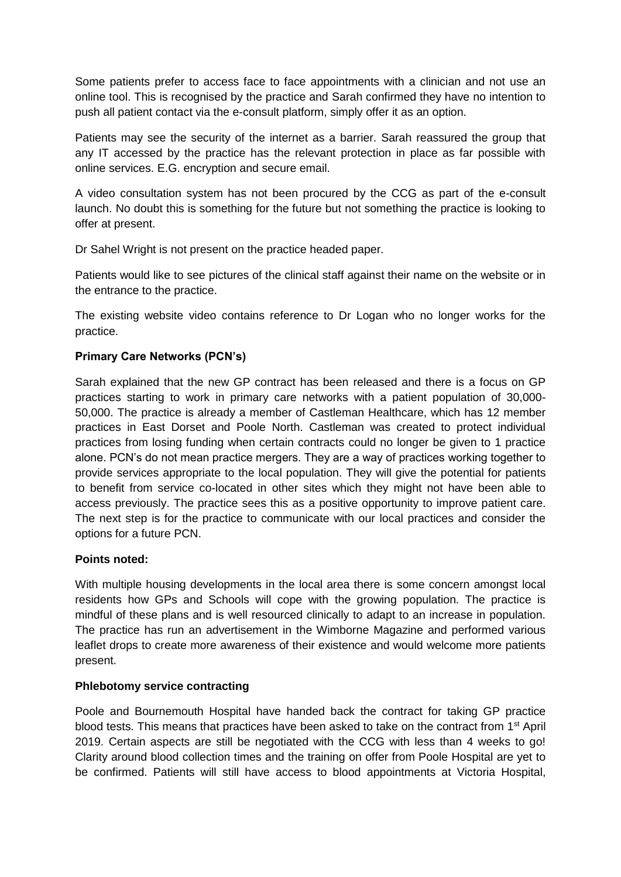Some patients prefer to access face to face appointments with a clinician and not use an online tool. This is recognised by the practice and Sarah confirmed they have no intention to push all patient contact via the e-consult platform, simply offer it as an option.

Patients may see the security of the internet as a barrier. Sarah reassured the group that any IT accessed by the practice has the relevant protection in place as far possible with online services. E.G. encryption and secure email.

A video consultation system has not been procured by the CCG as part of the e-consult launch. No doubt this is something for the future but not something the practice is looking to offer at present.

Dr Sahel Wright is not present on the practice headed paper.

Patients would like to see pictures of the clinical staff against their name on the website or in the entrance to the practice.

The existing website video contains reference to Dr Logan who no longer works for the practice.

## **Primary Care Networks (PCN's)**

Sarah explained that the new GP contract has been released and there is a focus on GP practices starting to work in primary care networks with a patient population of 30,000- 50,000. The practice is already a member of Castleman Healthcare, which has 12 member practices in East Dorset and Poole North. Castleman was created to protect individual practices from losing funding when certain contracts could no longer be given to 1 practice alone. PCN's do not mean practice mergers. They are a way of practices working together to provide services appropriate to the local population. They will give the potential for patients to benefit from service co-located in other sites which they might not have been able to access previously. The practice sees this as a positive opportunity to improve patient care. The next step is for the practice to communicate with our local practices and consider the options for a future PCN.

## **Points noted:**

With multiple housing developments in the local area there is some concern amongst local residents how GPs and Schools will cope with the growing population. The practice is mindful of these plans and is well resourced clinically to adapt to an increase in population. The practice has run an advertisement in the Wimborne Magazine and performed various leaflet drops to create more awareness of their existence and would welcome more patients present.

## **Phlebotomy service contracting**

Poole and Bournemouth Hospital have handed back the contract for taking GP practice blood tests. This means that practices have been asked to take on the contract from 1<sup>st</sup> April 2019. Certain aspects are still be negotiated with the CCG with less than 4 weeks to go! Clarity around blood collection times and the training on offer from Poole Hospital are yet to be confirmed. Patients will still have access to blood appointments at Victoria Hospital,